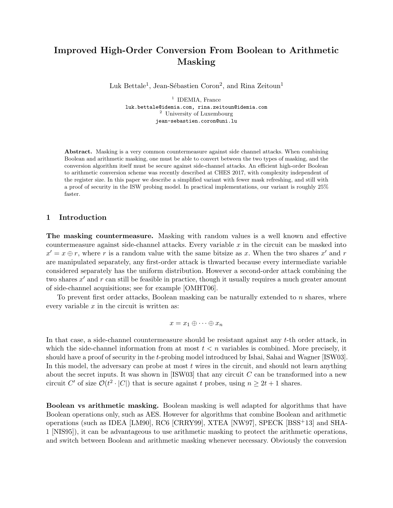# Improved High-Order Conversion From Boolean to Arithmetic Masking

Luk Bettale<sup>1</sup>, Jean-Sébastien Coron<sup>2</sup>, and Rina Zeitoun<sup>1</sup>

<sup>1</sup> IDEMIA, France luk.bettale@idemia.com, rina.zeitoun@idemia.com <sup>2</sup> University of Luxembourg jean-sebastien.coron@uni.lu

Abstract. Masking is a very common countermeasure against side channel attacks. When combining Boolean and arithmetic masking, one must be able to convert between the two types of masking, and the conversion algorithm itself must be secure against side-channel attacks. An efficient high-order Boolean to arithmetic conversion scheme was recently described at CHES 2017, with complexity independent of the register size. In this paper we describe a simplified variant with fewer mask refreshing, and still with a proof of security in the ISW probing model. In practical implementations, our variant is roughly 25% faster.

## 1 Introduction

The masking countermeasure. Masking with random values is a well known and effective countermeasure against side-channel attacks. Every variable  $x$  in the circuit can be masked into  $x' = x \oplus r$ , where r is a random value with the same bitsize as x. When the two shares x' and r are manipulated separately, any first-order attack is thwarted because every intermediate variable considered separately has the uniform distribution. However a second-order attack combining the two shares  $x'$  and  $r$  can still be feasible in practice, though it usually requires a much greater amount of side-channel acquisitions; see for example [OMHT06].

To prevent first order attacks, Boolean masking can be naturally extended to  $n$  shares, where every variable  $x$  in the circuit is written as:

$$
x = x_1 \oplus \cdots \oplus x_n
$$

In that case, a side-channel countermeasure should be resistant against any t-th order attack, in which the side-channel information from at most  $t < n$  variables is combined. More precisely, it should have a proof of security in the t-probing model introduced by Ishai, Sahai and Wagner [ISW03]. In this model, the adversary can probe at most  $t$  wires in the circuit, and should not learn anything about the secret inputs. It was shown in [ISW03] that any circuit  $C$  can be transformed into a new circuit C' of size  $\mathcal{O}(t^2 \cdot |C|)$  that is secure against t probes, using  $n \geq 2t + 1$  shares.

Boolean vs arithmetic masking. Boolean masking is well adapted for algorithms that have Boolean operations only, such as AES. However for algorithms that combine Boolean and arithmetic operations (such as IDEA [LM90], RC6 [CRRY99], XTEA [NW97], SPECK [BSS+13] and SHA-1 [NIS95]), it can be advantageous to use arithmetic masking to protect the arithmetic operations, and switch between Boolean and arithmetic masking whenever necessary. Obviously the conversion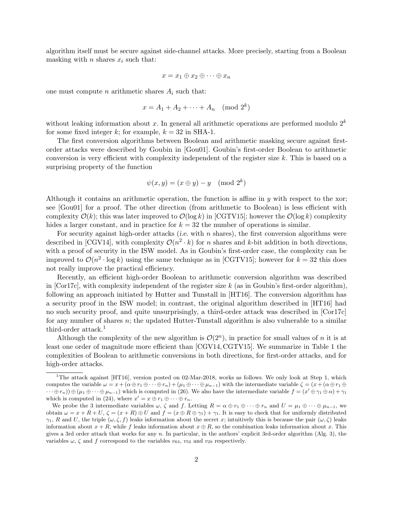algorithm itself must be secure against side-channel attacks. More precisely, starting from a Boolean masking with n shares  $x_i$  such that:

$$
x = x_1 \oplus x_2 \oplus \cdots \oplus x_n
$$

one must compute *n* arithmetic shares  $A_i$  such that:

$$
x = A_1 + A_2 + \dots + A_n \pmod{2^k}
$$

without leaking information about x. In general all arithmetic operations are performed modulo  $2^k$ for some fixed integer k; for example,  $k = 32$  in SHA-1.

The first conversion algorithms between Boolean and arithmetic masking secure against firstorder attacks were described by Goubin in [Gou01]. Goubin's first-order Boolean to arithmetic conversion is very efficient with complexity independent of the register size  $k$ . This is based on a surprising property of the function

$$
\psi(x, y) = (x \oplus y) - y \pmod{2^k}
$$

Although it contains an arithmetic operation, the function is affine in  $\gamma$  with respect to the xor; see [Gou01] for a proof. The other direction (from arithmetic to Boolean) is less efficient with complexity  $\mathcal{O}(k)$ ; this was later improved to  $\mathcal{O}(\log k)$  in [CGTV15]; however the  $\mathcal{O}(\log k)$  complexity hides a larger constant, and in practice for  $k = 32$  the number of operations is similar.

For security against high-order attacks (*i.e.* with n shares), the first conversion algorithms were described in [CGV14], with complexity  $\mathcal{O}(n^2 \cdot k)$  for n shares and k-bit addition in both directions, with a proof of security in the ISW model. As in Goubin's first-order case, the complexity can be improved to  $\mathcal{O}(n^2 \cdot \log k)$  using the same technique as in [CGTV15]; however for  $k = 32$  this does not really improve the practical efficiency.

Recently, an efficient high-order Boolean to arithmetic conversion algorithm was described in [Cor17c], with complexity independent of the register size  $k$  (as in Goubin's first-order algorithm), following an approach initiated by Hutter and Tunstall in [HT16]. The conversion algorithm has a security proof in the ISW model; in contrast, the original algorithm described in [HT16] had no such security proof, and quite unsurprisingly, a third-order attack was described in [Cor17c] for any number of shares  $n$ ; the updated Hutter-Tunstall algorithm is also vulnerable to a similar third-order attack. $<sup>1</sup>$ </sup>

Although the complexity of the new algorithm is  $\mathcal{O}(2^n)$ , in practice for small values of n it is at least one order of magnitude more efficient than [CGV14, CGTV15]. We summarize in Table 1 the complexities of Boolean to arithmetic conversions in both directions, for first-order attacks, and for high-order attacks.

<sup>&</sup>lt;sup>1</sup>The attack against [HT16], version posted on 02-Mar-2018, works as follows. We only look at Step 1, which computes the variable  $\omega = x + (\alpha \oplus r_1 \oplus \cdots \oplus r_n) + (\mu_1 \oplus \cdots \oplus \mu_{n-1})$  with the intermediate variable  $\zeta = (x + (\alpha \oplus r_1 \oplus \cdots \oplus r_n))$  $\cdots \oplus r_n$ )  $\oplus (\mu_1 \oplus \cdots \oplus \mu_{n-1})$  which is computed in (26). We also have the intermediate variable  $f = (x' \oplus \gamma_1 \oplus \alpha) + \gamma_1$ which is computed in (24), where  $x' = x \oplus r_1 \oplus \cdots \oplus r_n$ .

We probe the 3 intermediate variables  $\omega$ ,  $\zeta$  and f. Letting  $R = \alpha \oplus r_1 \oplus \cdots \oplus r_n$  and  $U = \mu_1 \oplus \cdots \oplus \mu_{n-1}$ , we obtain  $\omega = x + R + U$ ,  $\zeta = (x + R) \oplus U$  and  $f = (x \oplus R \oplus \gamma_1) + \gamma_1$ . It is easy to check that for uniformly distributed  $\gamma_1$ , R and U, the triple  $(\omega, \zeta, f)$  leaks information about the secret x; intuitively this is because the pair  $(\omega, \zeta)$  leaks information about  $x + R$ , while f leaks information about  $x \oplus R$ , so the combination leaks information about x. This gives a 3rd order attack that works for any n. In particular, in the authors' explicit 3rd-order algorithm (Alg. 3), the variables  $\omega$ ,  $\zeta$  and  $f$  correspond to the variables  $v_{63}$ ,  $v_{52}$  and  $v_{29}$  respectively.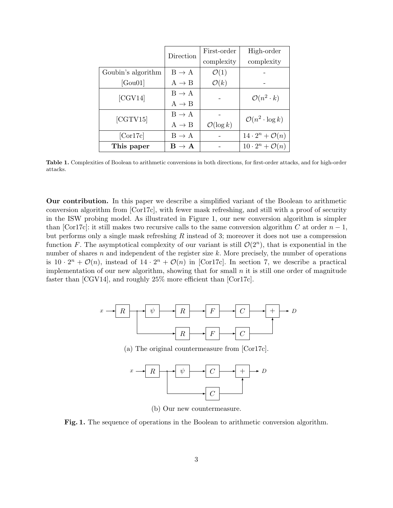|                    | Direction                   | First-order           | High-order                                                    |  |  |
|--------------------|-----------------------------|-----------------------|---------------------------------------------------------------|--|--|
|                    |                             | complexity            | complexity                                                    |  |  |
| Goubin's algorithm | $B \rightarrow A$           | $\mathcal{O}(1)$      |                                                               |  |  |
| [Gou01]            | $A \rightarrow B$           | $\mathcal{O}(k)$      |                                                               |  |  |
| [CGV14]            | $B \rightarrow A$           |                       | $\mathcal{O}(n^2 \cdot k)$<br>$\mathcal{O}(n^2 \cdot \log k)$ |  |  |
|                    | $A \rightarrow B$           |                       |                                                               |  |  |
| [CGTV15]           | $B \rightarrow A$           |                       |                                                               |  |  |
|                    | $A \rightarrow B$           | $\mathcal{O}(\log k)$ |                                                               |  |  |
| [Cor17c]           | $B \rightarrow A$           |                       | $14 \cdot 2^n + \mathcal{O}(n)$                               |  |  |
| This paper         | $\mathbf{B} \to \mathbf{A}$ |                       | $10 \cdot 2^n + \mathcal{O}(n)$                               |  |  |

Table 1. Complexities of Boolean to arithmetic conversions in both directions, for first-order attacks, and for high-order attacks.

Our contribution. In this paper we describe a simplified variant of the Boolean to arithmetic conversion algorithm from [Cor17c], with fewer mask refreshing, and still with a proof of security in the ISW probing model. As illustrated in Figure 1, our new conversion algorithm is simpler than [Cor17c]: it still makes two recursive calls to the same conversion algorithm C at order  $n-1$ , but performs only a single mask refreshing  $R$  instead of 3; moreover it does not use a compression function F. The asymptotical complexity of our variant is still  $\mathcal{O}(2^n)$ , that is exponential in the number of shares n and independent of the register size  $k$ . More precisely, the number of operations is  $10 \cdot 2^n + \mathcal{O}(n)$ , instead of  $14 \cdot 2^n + \mathcal{O}(n)$  in [Cor17c]. In section 7, we describe a practical implementation of our new algorithm, showing that for small  $n$  it is still one order of magnitude faster than [CGV14], and roughly 25% more efficient than [Cor17c].





(b) Our new countermeasure.

Fig. 1. The sequence of operations in the Boolean to arithmetic conversion algorithm.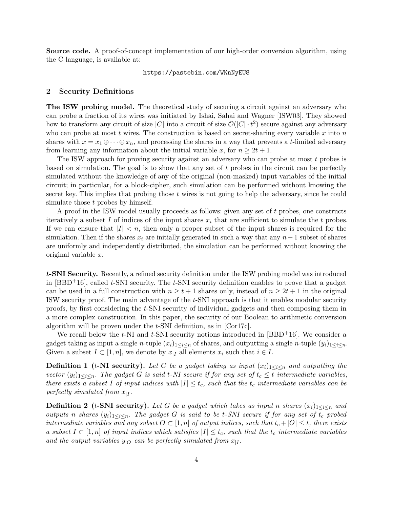Source code. A proof-of-concept implementation of our high-order conversion algorithm, using the C language, is available at:

#### https://pastebin.com/WKnNyEU8

## 2 Security Definitions

The ISW probing model. The theoretical study of securing a circuit against an adversary who can probe a fraction of its wires was initiated by Ishai, Sahai and Wagner [ISW03]. They showed how to transform any circuit of size |C| into a circuit of size  $\mathcal{O}(|C| \cdot t^2)$  secure against any adversary who can probe at most t wires. The construction is based on secret-sharing every variable x into n shares with  $x = x_1 \oplus \cdots \oplus x_n$ , and processing the shares in a way that prevents a t-limited adversary from learning any information about the initial variable x, for  $n \geq 2t + 1$ .

The ISW approach for proving security against an adversary who can probe at most t probes is based on simulation. The goal is to show that any set of  $t$  probes in the circuit can be perfectly simulated without the knowledge of any of the original (non-masked) input variables of the initial circuit; in particular, for a block-cipher, such simulation can be performed without knowing the secret key. This implies that probing those  $t$  wires is not going to help the adversary, since he could simulate those t probes by himself.

A proof in the ISW model usually proceeds as follows: given any set of  $t$  probes, one constructs iteratively a subset I of indices of the input shares  $x_i$  that are sufficient to simulate the t probes. If we can ensure that  $|I| < n$ , then only a proper subset of the input shares is required for the simulation. Then if the shares  $x_i$  are initially generated in such a way that any  $n-1$  subset of shares are uniformly and independently distributed, the simulation can be performed without knowing the original variable x.

t-SNI Security. Recently, a refined security definition under the ISW probing model was introduced in  $[BBD+16]$ , called t-SNI security. The t-SNI security definition enables to prove that a gadget can be used in a full construction with  $n \geq t+1$  shares only, instead of  $n \geq 2t+1$  in the original ISW security proof. The main advantage of the t-SNI approach is that it enables modular security proofs, by first considering the t-SNI security of individual gadgets and then composing them in a more complex construction. In this paper, the security of our Boolean to arithmetic conversion algorithm will be proven under the t-SNI definition, as in [Cor17c].

We recall below the t-NI and t-SNI security notions introduced in  $[BBD^+16]$ . We consider a gadget taking as input a single n-tuple  $(x_i)_{1\leq i\leq n}$  of shares, and outputting a single n-tuple  $(y_i)_{1\leq i\leq n}$ . Given a subset  $I \subset [1, n]$ , we denote by  $x_{|I}$  all elements  $x_i$  such that  $i \in I$ .

**Definition 1** (t-NI security). Let G be a gadget taking as input  $(x_i)_{1\leq i\leq n}$  and outputting the vector  $(y_i)_{1 \leq i \leq n}$ . The gadget G is said t-NI secure if for any set of  $t_c \leq t$  intermediate variables, there exists a subset I of input indices with  $|I| \leq t_c$ , such that the  $t_c$  intermediate variables can be perfectly simulated from  $x_{|I}$ .

**Definition 2** (t-SNI security). Let G be a gadget which takes as input n shares  $(x_i)_{1\leq i\leq n}$  and outputs n shares  $(y_i)_{1 \leq i \leq n}$ . The gadget G is said to be t-SNI secure if for any set of t<sub>c</sub> probed intermediate variables and any subset  $O \subset [1,n]$  of output indices, such that  $t_c + |O| \leq t$ , there exists a subset  $I \subset [1,n]$  of input indices which satisfies  $|I| \leq t_c$ , such that the  $t_c$  intermediate variables and the output variables  $y_{|O}$  can be perfectly simulated from  $x_{|I}$ .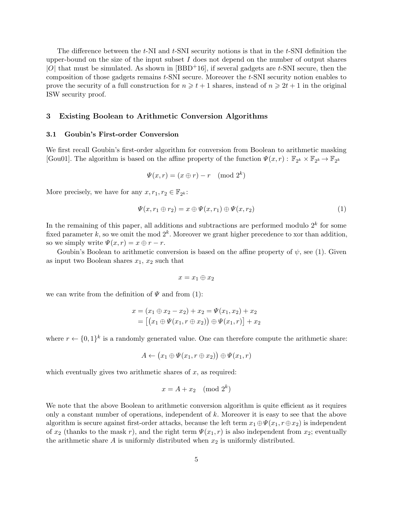The difference between the  $t$ -NI and  $t$ -SNI security notions is that in the  $t$ -SNI definition the upper-bound on the size of the input subset  $I$  does not depend on the number of output shares  $|O|$  that must be simulated. As shown in  $[BBD+16]$ , if several gadgets are t-SNI secure, then the composition of those gadgets remains  $t$ -SNI secure. Moreover the  $t$ -SNI security notion enables to prove the security of a full construction for  $n \geq t + 1$  shares, instead of  $n \geq 2t + 1$  in the original ISW security proof.

## 3 Existing Boolean to Arithmetic Conversion Algorithms

## 3.1 Goubin's First-order Conversion

We first recall Goubin's first-order algorithm for conversion from Boolean to arithmetic masking [Gou01]. The algorithm is based on the affine property of the function  $\Psi(x,r): \mathbb{F}_{2^k} \times \mathbb{F}_{2^k} \to \mathbb{F}_{2^k}$ 

$$
\Psi(x,r) = (x \oplus r) - r \pmod{2^k}
$$

More precisely, we have for any  $x, r_1, r_2 \in \mathbb{F}_{2^k}$ :

$$
\Psi(x, r_1 \oplus r_2) = x \oplus \Psi(x, r_1) \oplus \Psi(x, r_2)
$$
\n(1)

In the remaining of this paper, all additions and subtractions are performed modulo  $2^k$  for some fixed parameter k, so we omit the mod  $2^k$ . Moreover we grant higher precedence to xor than addition, so we simply write  $\Psi(x,r) = x \oplus r - r$ .

Goubin's Boolean to arithmetic conversion is based on the affine property of  $\psi$ , see (1). Given as input two Boolean shares  $x_1, x_2$  such that

$$
x=x_1\oplus x_2
$$

we can write from the definition of  $\Psi$  and from (1):

$$
x = (x_1 \oplus x_2 - x_2) + x_2 = \Psi(x_1, x_2) + x_2
$$
  
= 
$$
[(x_1 \oplus \Psi(x_1, r \oplus x_2)) \oplus \Psi(x_1, r)] + x_2
$$

where  $r \leftarrow \{0,1\}^k$  is a randomly generated value. One can therefore compute the arithmetic share:

$$
A \leftarrow (x_1 \oplus \Psi(x_1, r \oplus x_2)) \oplus \Psi(x_1, r)
$$

which eventually gives two arithmetic shares of  $x$ , as required:

$$
x = A + x_2 \pmod{2^k}
$$

We note that the above Boolean to arithmetic conversion algorithm is quite efficient as it requires only a constant number of operations, independent of  $k$ . Moreover it is easy to see that the above algorithm is secure against first-order attacks, because the left term  $x_1 \oplus \Psi(x_1, r \oplus x_2)$  is independent of  $x_2$  (thanks to the mask r), and the right term  $\Psi(x_1, r)$  is also independent from  $x_2$ ; eventually the arithmetic share  $A$  is uniformly distributed when  $x_2$  is uniformly distributed.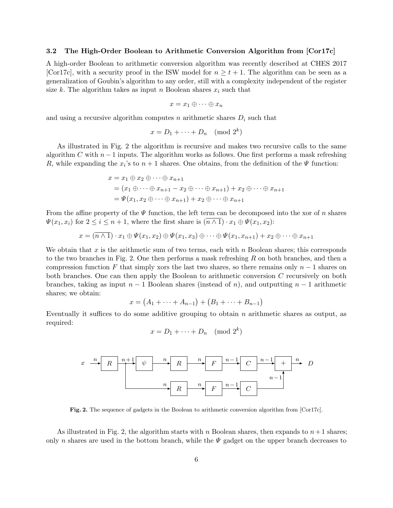## 3.2 The High-Order Boolean to Arithmetic Conversion Algorithm from [Cor17c]

A high-order Boolean to arithmetic conversion algorithm was recently described at CHES 2017 [Cor17c], with a security proof in the ISW model for  $n \ge t + 1$ . The algorithm can be seen as a generalization of Goubin's algorithm to any order, still with a complexity independent of the register size k. The algorithm takes as input n Boolean shares  $x_i$  such that

$$
x = x_1 \oplus \cdots \oplus x_n
$$

and using a recursive algorithm computes n arithmetic shares  $D_i$  such that

$$
x = D_1 + \dots + D_n \pmod{2^k}
$$

As illustrated in Fig. 2 the algorithm is recursive and makes two recursive calls to the same algorithm C with  $n-1$  inputs. The algorithm works as follows. One first performs a mask refreshing R, while expanding the  $x_i$ 's to  $n+1$  shares. One obtains, from the definition of the  $\Psi$  function:

$$
x = x_1 \oplus x_2 \oplus \cdots \oplus x_{n+1}
$$
  
=  $(x_1 \oplus \cdots \oplus x_{n+1} - x_2 \oplus \cdots \oplus x_{n+1}) + x_2 \oplus \cdots \oplus x_{n+1}$   
=  $\Psi(x_1, x_2 \oplus \cdots \oplus x_{n+1}) + x_2 \oplus \cdots \oplus x_{n+1}$ 

From the affine property of the  $\Psi$  function, the left term can be decomposed into the xor of n shares  $\Psi(x_1, x_i)$  for  $2 \leq i \leq n+1$ , where the first share is  $(\overline{n \wedge 1}) \cdot x_1 \oplus \Psi(x_1, x_2)$ :

$$
x = (\overline{n \wedge 1}) \cdot x_1 \oplus \Psi(x_1, x_2) \oplus \Psi(x_1, x_3) \oplus \cdots \oplus \Psi(x_1, x_{n+1}) + x_2 \oplus \cdots \oplus x_{n+1}
$$

We obtain that x is the arithmetic sum of two terms, each with  $n$  Boolean shares; this corresponds to the two branches in Fig. 2. One then performs a mask refreshing R on both branches, and then a compression function F that simply xors the last two shares, so there remains only  $n-1$  shares on both branches. One can then apply the Boolean to arithmetic conversion C recursively on both branches, taking as input  $n-1$  Boolean shares (instead of n), and outputting  $n-1$  arithmetic shares; we obtain:

$$
x = (A_1 + \dots + A_{n-1}) + (B_1 + \dots + B_{n-1})
$$

Eventually it suffices to do some additive grouping to obtain  $n$  arithmetic shares as output, as required:

$$
x = D_1 + \dots + D_n \pmod{2^k}
$$



Fig. 2. The sequence of gadgets in the Boolean to arithmetic conversion algorithm from [Cor17c].

As illustrated in Fig. 2, the algorithm starts with n Boolean shares, then expands to  $n+1$  shares; only n shares are used in the bottom branch, while the  $\Psi$  gadget on the upper branch decreases to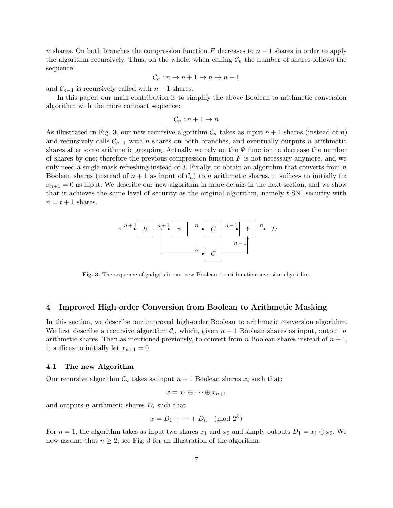n shares. On both branches the compression function F decreases to  $n-1$  shares in order to apply the algorithm recursively. Thus, on the whole, when calling  $C_n$  the number of shares follows the sequence:

$$
\mathcal{C}_n: n \to n+1 \to n \to n-1
$$

and  $\mathcal{C}_{n-1}$  is recursively called with  $n-1$  shares.

In this paper, our main contribution is to simplify the above Boolean to arithmetic conversion algorithm with the more compact sequence:

$$
\mathcal{C}_n: n+1 \to n
$$

As illustrated in Fig. 3, our new recursive algorithm  $\mathcal{C}_n$  takes as input  $n+1$  shares (instead of n) and recursively calls  $\mathcal{C}_{n-1}$  with n shares on both branches, and eventually outputs n arithmetic shares after some arithmetic grouping. Actually we rely on the  $\Psi$  function to decrease the number of shares by one; therefore the previous compression function  $F$  is not necessary anymore, and we only need a single mask refreshing instead of 3. Finally, to obtain an algorithm that converts from  $n$ Boolean shares (instead of  $n + 1$  as input of  $\mathcal{C}_n$ ) to n arithmetic shares, it suffices to initially fix  $x_{n+1} = 0$  as input. We describe our new algorithm in more details in the next section, and we show that it achieves the same level of security as the original algorithm, namely  $t$ -SNI security with  $n = t + 1$  shares.



Fig. 3. The sequence of gadgets in our new Boolean to arithmetic conversion algorithm.

### 4 Improved High-order Conversion from Boolean to Arithmetic Masking

In this section, we describe our improved high-order Boolean to arithmetic conversion algorithm. We first describe a recursive algorithm  $\mathcal{C}_n$  which, given  $n+1$  Boolean shares as input, output n arithmetic shares. Then as mentioned previously, to convert from n Boolean shares instead of  $n + 1$ , it suffices to initially let  $x_{n+1} = 0$ .

#### 4.1 The new Algorithm

Our recursive algorithm  $C_n$  takes as input  $n + 1$  Boolean shares  $x_i$  such that:

$$
x = x_1 \oplus \cdots \oplus x_{n+1}
$$

and outputs n arithmetic shares  $D_i$  such that

$$
x = D_1 + \dots + D_n \pmod{2^k}
$$

For  $n = 1$ , the algorithm takes as input two shares  $x_1$  and  $x_2$  and simply outputs  $D_1 = x_1 \oplus x_2$ . We now assume that  $n \geq 2$ ; see Fig. 3 for an illustration of the algorithm.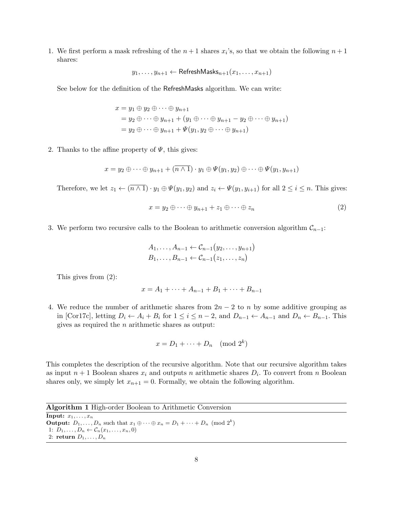1. We first perform a mask refreshing of the  $n+1$  shares  $x_i$ 's, so that we obtain the following  $n+1$ shares:

$$
y_1, \ldots, y_{n+1} \leftarrow \mathsf{ReferenceshMask}_{n+1}(x_1, \ldots, x_{n+1})
$$

See below for the definition of the RefreshMasks algorithm. We can write:

$$
x = y_1 \oplus y_2 \oplus \cdots \oplus y_{n+1}
$$
  
=  $y_2 \oplus \cdots \oplus y_{n+1} + (y_1 \oplus \cdots \oplus y_{n+1} - y_2 \oplus \cdots \oplus y_{n+1})$   
=  $y_2 \oplus \cdots \oplus y_{n+1} + \Psi(y_1, y_2 \oplus \cdots \oplus y_{n+1})$ 

2. Thanks to the affine property of  $\Psi$ , this gives:

$$
x = y_2 \oplus \cdots \oplus y_{n+1} + (\overline{n \wedge 1}) \cdot y_1 \oplus \Psi(y_1, y_2) \oplus \cdots \oplus \Psi(y_1, y_{n+1})
$$

Therefore, we let  $z_1 \leftarrow (\overline{n \wedge 1}) \cdot y_1 \oplus \Psi(y_1, y_2)$  and  $z_i \leftarrow \Psi(y_1, y_{i+1})$  for all  $2 \leq i \leq n$ . This gives:

$$
x = y_2 \oplus \cdots \oplus y_{n+1} + z_1 \oplus \cdots \oplus z_n \tag{2}
$$

3. We perform two recursive calls to the Boolean to arithmetic conversion algorithm  $\mathcal{C}_{n-1}$ :

$$
A_1, \ldots, A_{n-1} \leftarrow C_{n-1}(y_2, \ldots, y_{n+1})
$$
  

$$
B_1, \ldots, B_{n-1} \leftarrow C_{n-1}(z_1, \ldots, z_n)
$$

This gives from (2):

$$
x = A_1 + \dots + A_{n-1} + B_1 + \dots + B_{n-1}
$$

4. We reduce the number of arithmetic shares from  $2n - 2$  to n by some additive grouping as in [Cor17c], letting  $D_i \leftarrow A_i + B_i$  for  $1 \leq i \leq n-2$ , and  $D_{n-1} \leftarrow A_{n-1}$  and  $D_n \leftarrow B_{n-1}$ . This gives as required the n arithmetic shares as output:

$$
x = D_1 + \dots + D_n \pmod{2^k}
$$

This completes the description of the recursive algorithm. Note that our recursive algorithm takes as input  $n+1$  Boolean shares  $x_i$  and outputs n arithmetic shares  $D_i$ . To convert from n Boolean shares only, we simply let  $x_{n+1} = 0$ . Formally, we obtain the following algorithm.

Algorithm 1 High-order Boolean to Arithmetic Conversion

**Input:**  $x_1, \ldots, x_n$ **Output:**  $D_1, \ldots, D_n$  such that  $x_1 \oplus \cdots \oplus x_n = D_1 + \cdots + D_n \pmod{2^k}$ 1:  $D_1, \ldots, D_n \leftarrow C_n(x_1, \ldots, x_n, 0)$ 2: return  $D_1, \ldots, D_n$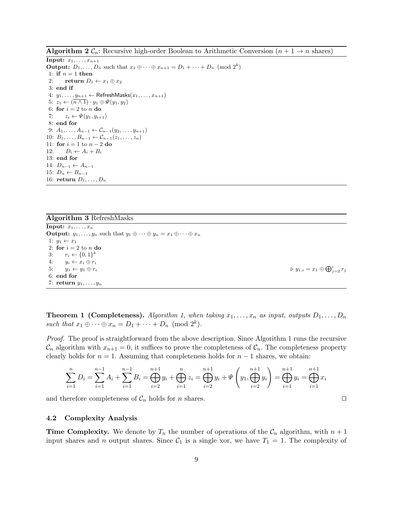**Algorithm 2**  $\mathcal{C}_n$ : Recursive high-order Boolean to Arithmetic Conversion  $(n+1 \rightarrow n$  shares)

**Input:**  $x_1, \ldots, x_{n+1}$ **Output:**  $D_1, \ldots, D_n$  such that  $x_1 \oplus \cdots \oplus x_{n+1} = D_1 + \cdots + D_n \pmod{2^k}$ 1: if  $n = 1$  then 2: return  $D_1 \leftarrow x_1 \oplus x_2$ 3: end if 4:  $y_1, \ldots, y_{n+1} \leftarrow$  RefreshMasks $(x_1, \ldots, x_{n+1})$ 5:  $z_1 \leftarrow (\overline{n \wedge 1}) \cdot y_1 \oplus \Psi(y_1, y_2)$ 6: for  $i = 2$  to n do 7:  $z_i \leftarrow \Psi(y_1, y_{i+1})$ 8: end for 9:  $A_1, \ldots, A_{n-1} \leftarrow C_{n-1}(y_2, \ldots, y_{n+1})$ 10:  $B_1, \ldots, B_{n-1} \leftarrow C_{n-1}(z_1, \ldots, z_n)$ 11: for  $i = 1$  to  $n - 2$  do 12:  $D_i \leftarrow A_i + B_i$ 13: end for 14:  $D_{n-1}$  ←  $A_{n-1}$ 15:  $D_n \leftarrow B_{n-1}$ 16: return  $D_1, \ldots, D_n$ 

### Algorithm 3 RefreshMasks

Input:  $x_1, \ldots, x_n$ **Output:**  $y_1, \ldots, y_n$  such that  $y_1 \oplus \cdots \oplus y_n = x_1 \oplus \cdots \oplus x_n$ 1:  $y_1 \leftarrow x_1$ 2: for  $i = 2$  to n do 3:  $r_i \leftarrow \{0, 1\}^k$ 4:  $y_i \leftarrow x_i \oplus r_i$ 5:  $y_1 \leftarrow y_1 \oplus r_i$   $\triangleright y_{1,i} = x_1 \oplus \bigoplus_{j=2}^i r_j$ 6: end for 7: return  $y_1, \ldots, y_n$ 

**Theorem 1 (Completeness).** Algorithm 1, when taking  $x_1, \ldots, x_n$  as input, outputs  $D_1, \ldots, D_n$ such that  $x_1 \oplus \cdots \oplus x_n = D_1 + \cdots + D_n \pmod{2^k}$ .

Proof. The proof is straightforward from the above description. Since Algorithm 1 runs the recursive  $\mathcal{C}_n$  algorithm with  $x_{n+1} = 0$ , it suffices to prove the completeness of  $\mathcal{C}_n$ . The completeness property clearly holds for  $n = 1$ . Assuming that completeness holds for  $n - 1$  shares, we obtain:

$$
\sum_{i=1}^{n} D_i = \sum_{i=1}^{n-1} A_i + \sum_{i=1}^{n-1} B_i = \bigoplus_{i=2}^{n+1} y_i + \bigoplus_{i=1}^{n} z_i = \bigoplus_{i=2}^{n+1} y_i + \Psi \left( y_1, \bigoplus_{i=2}^{n+1} y_i \right) = \bigoplus_{i=1}^{n+1} y_i = \bigoplus_{i=1}^{n+1} x_i
$$

and therefore completeness of  $\mathcal{C}_n$  holds for *n* shares.  $\square$ 

#### 4.2 Complexity Analysis

**Time Complexity.** We denote by  $T_n$  the number of operations of the  $\mathcal{C}_n$  algorithm, with  $n+1$ input shares and n output shares. Since  $C_1$  is a single xor, we have  $T_1 = 1$ . The complexity of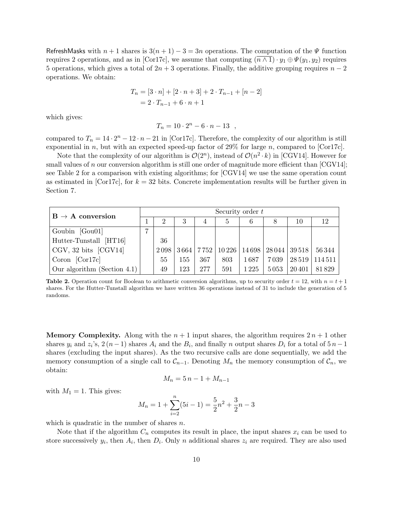RefreshMasks with  $n + 1$  shares is  $3(n + 1) - 3 = 3n$  operations. The computation of the  $\Psi$  function requires 2 operations, and as in [Cor17c], we assume that computing  $(\overline{n \wedge 1}) \cdot y_1 \oplus \Psi(y_1, y_2)$  requires 5 operations, which gives a total of  $2n + 3$  operations. Finally, the additive grouping requires  $n - 2$ operations. We obtain:

$$
T_n = [3 \cdot n] + [2 \cdot n + 3] + 2 \cdot T_{n-1} + [n-2]
$$
  
=  $2 \cdot T_{n-1} + 6 \cdot n + 1$ 

which gives:

$$
T_n = 10 \cdot 2^n - 6 \cdot n - 13 ,
$$

compared to  $T_n = 14 \cdot 2^n - 12 \cdot n - 21$  in [Cor17c]. Therefore, the complexity of our algorithm is still exponential in n, but with an expected speed-up factor of  $29\%$  for large n, compared to [Cor17c].

Note that the complexity of our algorithm is  $\mathcal{O}(2^n)$ , instead of  $\mathcal{O}(n^2 \cdot k)$  in [CGV14]. However for small values of n our conversion algorithm is still one order of magnitude more efficient than  $[CGV14]$ ; see Table 2 for a comparison with existing algorithms; for [CGV14] we use the same operation count as estimated in [Cor17c], for  $k = 32$  bits. Concrete implementation results will be further given in Section 7.

| $B \rightarrow A$ conversion |   | Security order $t$ |     |     |     |         |          |        |                                                          |  |
|------------------------------|---|--------------------|-----|-----|-----|---------|----------|--------|----------------------------------------------------------|--|
|                              |   |                    | 3   | 4   |     | 6       | 8        | 10     | 12                                                       |  |
| Goubin [Gou01]               | ⇁ |                    |     |     |     |         |          |        |                                                          |  |
| Hutter-Tunstall [HT16]       |   | 36                 |     |     |     |         |          |        |                                                          |  |
| CGV, 32 bits [CGV14]         |   | 2098               |     |     |     |         |          |        | 3664   7752   10 226   14 698   28 044   39 518   56 344 |  |
| Coron $[Cor17c]$             |   | 55                 | 155 | 367 | 803 | 1 687   | 7 0 3 9  |        | 28 519   114 511                                         |  |
| Our algorithm (Section 4.1)  |   | 49                 | 123 | 277 | 591 | 1 2 2 5 | $5\,053$ | 20 401 | 81 829                                                   |  |

**Table 2.** Operation count for Boolean to arithmetic conversion algorithms, up to security order  $t = 12$ , with  $n = t + 1$ shares. For the Hutter-Tunstall algorithm we have written 36 operations instead of 31 to include the generation of 5 randoms.

**Memory Complexity.** Along with the  $n + 1$  input shares, the algorithm requires  $2n + 1$  other shares  $y_i$  and  $z_i$ 's,  $2(n-1)$  shares  $A_i$  and the  $B_i$ , and finally n output shares  $D_i$  for a total of  $5 n-1$ shares (excluding the input shares). As the two recursive calls are done sequentially, we add the memory consumption of a single call to  $\mathcal{C}_{n-1}$ . Denoting  $M_n$  the memory consumption of  $\mathcal{C}_n$ , we obtain:

$$
M_n = 5n - 1 + M_{n-1}
$$

with  $M_1 = 1$ . This gives:

$$
M_n = 1 + \sum_{i=2}^{n} (5i - 1) = \frac{5}{2}n^2 + \frac{3}{2}n - 3
$$

which is quadratic in the number of shares  $n$ .

Note that if the algorithm  $C_n$  computes its result in place, the input shares  $x_i$  can be used to store successively  $y_i$ , then  $A_i$ , then  $D_i$ . Only n additional shares  $z_i$  are required. They are also used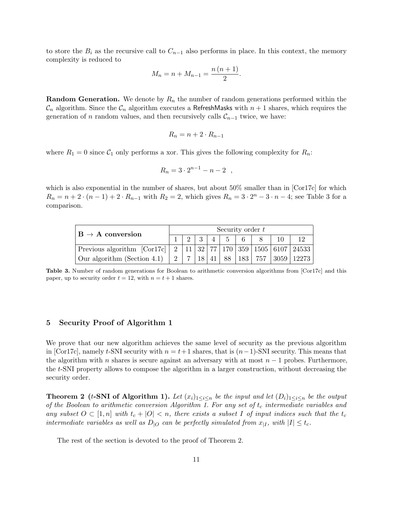to store the  $B_i$  as the recursive call to  $C_{n-1}$  also performs in place. In this context, the memory complexity is reduced to

$$
M_n = n + M_{n-1} = \frac{n (n + 1)}{2}.
$$

**Random Generation.** We denote by  $R_n$  the number of random generations performed within the  $\mathcal{C}_n$  algorithm. Since the  $\mathcal{C}_n$  algorithm executes a RefreshMasks with  $n+1$  shares, which requires the generation of *n* random values, and then recursively calls  $\mathcal{C}_{n-1}$  twice, we have:

$$
R_n = n + 2 \cdot R_{n-1}
$$

where  $R_1 = 0$  since  $C_1$  only performs a xor. This gives the following complexity for  $R_n$ :

$$
R_n = 3 \cdot 2^{n-1} - n - 2 \quad ,
$$

which is also exponential in the number of shares, but about 50% smaller than in [Cor17c] for which  $R_n = n + 2 \cdot (n - 1) + 2 \cdot R_{n-1}$  with  $R_2 = 2$ , which gives  $R_n = 3 \cdot 2^n - 3 \cdot n - 4$ ; see Table 3 for a comparison.

| $B \rightarrow A$ conversion                                                     |  | Security order $t$ |  |  |  |               |  |  |  |
|----------------------------------------------------------------------------------|--|--------------------|--|--|--|---------------|--|--|--|
|                                                                                  |  |                    |  |  |  | 3   4   5   6 |  |  |  |
| Previous algorithm [Cor17c]   2   11   32   77   170   359   1505   6107   24533 |  |                    |  |  |  |               |  |  |  |
| Our algorithm (Section 4.1)   2   7   18   41   88   183   757   3059   12273    |  |                    |  |  |  |               |  |  |  |

Table 3. Number of random generations for Boolean to arithmetic conversion algorithms from [Cor17c] and this paper, up to security order  $t = 12$ , with  $n = t + 1$  shares.

## 5 Security Proof of Algorithm 1

We prove that our new algorithm achieves the same level of security as the previous algorithm in [Cor17c], namely t-SNI security with  $n = t+1$  shares, that is  $(n-1)$ -SNI security. This means that the algorithm with n shares is secure against an adversary with at most  $n-1$  probes. Furthermore, the t-SNI property allows to compose the algorithm in a larger construction, without decreasing the security order.

**Theorem 2** (t-SNI of Algorithm 1). Let  $(x_i)_{1 \leq i \leq n}$  be the input and let  $(D_i)_{1 \leq i \leq n}$  be the output of the Boolean to arithmetic conversion Algorithm 1. For any set of  $t_c$  intermediate variables and any subset  $O \subset [1,n]$  with  $t_c + |O| < n$ , there exists a subset I of input indices such that the  $t_c$ intermediate variables as well as  $D_{|O}$  can be perfectly simulated from  $x_{|I}$ , with  $|I| \leq t_c$ .

The rest of the section is devoted to the proof of Theorem 2.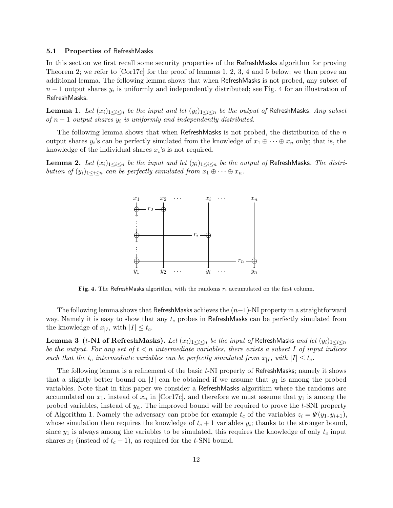#### 5.1 Properties of RefreshMasks

In this section we first recall some security properties of the RefreshMasks algorithm for proving Theorem 2; we refer to [Cor17c] for the proof of lemmas 1, 2, 3, 4 and 5 below; we then prove an additional lemma. The following lemma shows that when RefreshMasks is not probed, any subset of  $n-1$  output shares  $y_i$  is uniformly and independently distributed; see Fig. 4 for an illustration of RefreshMasks.

**Lemma 1.** Let  $(x_i)_{1\leq i\leq n}$  be the input and let  $(y_i)_{1\leq i\leq n}$  be the output of RefreshMasks. Any subset of  $n-1$  output shares  $y_i$  is uniformly and independently distributed.

The following lemma shows that when RefreshMasks is not probed, the distribution of the  $n$ output shares  $y_i$ 's can be perfectly simulated from the knowledge of  $x_1 \oplus \cdots \oplus x_n$  only; that is, the knowledge of the individual shares  $x_i$ 's is not required.

**Lemma 2.** Let  $(x_i)_{1\leq i\leq n}$  be the input and let  $(y_i)_{1\leq i\leq n}$  be the output of RefreshMasks. The distribution of  $(y_i)_{1\leq i\leq n}$  can be perfectly simulated from  $x_1\oplus\cdots\oplus x_n$ .



Fig. 4. The RefreshMasks algorithm, with the randoms  $r_i$  accumulated on the first column.

The following lemma shows that RefreshMasks achieves the  $(n-1)$ -NI property in a straightforward way. Namely it is easy to show that any  $t_c$  probes in RefreshMasks can be perfectly simulated from the knowledge of  $x_{|I}$ , with  $|I| \leq t_c$ .

**Lemma 3** (t-NI of RefreshMasks). Let  $(x_i)_{1 \leq i \leq n}$  be the input of RefreshMasks and let  $(y_i)_{1 \leq i \leq n}$ be the output. For any set of  $t < n$  intermediate variables, there exists a subset I of input indices such that the  $t_c$  intermediate variables can be perfectly simulated from  $x_{|I}$ , with  $|I| \leq t_c$ .

The following lemma is a refinement of the basic t-NI property of RefreshMasks; namely it shows that a slightly better bound on |I| can be obtained if we assume that  $y_1$  is among the probed variables. Note that in this paper we consider a RefreshMasks algorithm where the randoms are accumulated on  $x_1$ , instead of  $x_n$  in  $\lfloor \text{Cor17c} \rfloor$ , and therefore we must assume that  $y_1$  is among the probed variables, instead of  $y_n$ . The improved bound will be required to prove the t-SNI property of Algorithm 1. Namely the adversary can probe for example  $t_c$  of the variables  $z_i = \Psi(y_1, y_{i+1}),$ whose simulation then requires the knowledge of  $t_c + 1$  variables  $y_i$ ; thanks to the stronger bound, since  $y_1$  is always among the variables to be simulated, this requires the knowledge of only  $t_c$  input shares  $x_i$  (instead of  $t_c + 1$ ), as required for the t-SNI bound.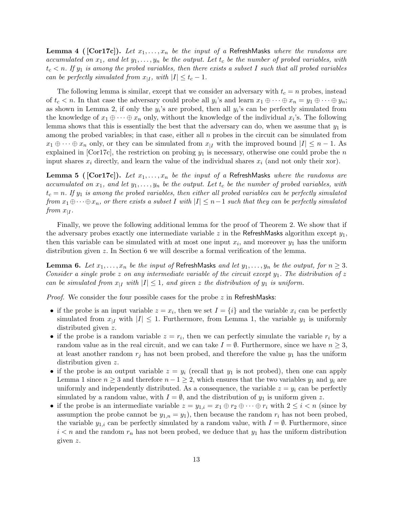**Lemma 4** ([Cor17c]). Let  $x_1, \ldots, x_n$  be the input of a RefreshMasks where the randoms are accumulated on  $x_1$ , and let  $y_1, \ldots, y_n$  be the output. Let  $t_c$  be the number of probed variables, with  $t_c < n$ . If  $y_1$  is among the probed variables, then there exists a subset I such that all probed variables can be perfectly simulated from  $x_{|I}$ , with  $|I| \leq t_c - 1$ .

The following lemma is similar, except that we consider an adversary with  $t_c = n$  probes, instead of  $t_c < n$ . In that case the adversary could probe all  $y_i$ 's and learn  $x_1 \oplus \cdots \oplus x_n = y_1 \oplus \cdots \oplus y_n$ ; as shown in Lemma 2, if only the  $y_i$ 's are probed, then all  $y_i$ 's can be perfectly simulated from the knowledge of  $x_1 \oplus \cdots \oplus x_n$  only, without the knowledge of the individual  $x_i$ 's. The following lemma shows that this is essentially the best that the adversary can do, when we assume that  $y_1$  is among the probed variables; in that case, either all  $n$  probes in the circuit can be simulated from  $x_1 \oplus \cdots \oplus x_n$  only, or they can be simulated from  $x_{|I}$  with the improved bound  $|I| \leq n-1$ . As explained in [Cor17c], the restriction on probing  $y_1$  is necessary, otherwise one could probe the n input shares  $x_i$  directly, and learn the value of the individual shares  $x_i$  (and not only their xor).

**Lemma 5** ([Cor17c]). Let  $x_1, \ldots, x_n$  be the input of a RefreshMasks where the randoms are accumulated on  $x_1$ , and let  $y_1, \ldots, y_n$  be the output. Let  $t_c$  be the number of probed variables, with  $t_c = n$ . If  $y_1$  is among the probed variables, then either all probed variables can be perfectly simulated from  $x_1 \oplus \cdots \oplus x_n$ , or there exists a subset I with  $|I| \leq n-1$  such that they can be perfectly simulated from  $x_{|I}$ .

Finally, we prove the following additional lemma for the proof of Theorem 2. We show that if the adversary probes exactly one intermediate variable z in the RefreshMasks algorithm except  $y_1$ , then this variable can be simulated with at most one input  $x_i$ , and moreover  $y_1$  has the uniform distribution given z. In Section 6 we will describe a formal verification of the lemma.

**Lemma 6.** Let  $x_1, \ldots, x_n$  be the input of RefreshMasks and let  $y_1, \ldots, y_n$  be the output, for  $n \geq 3$ . Consider a single probe z on any intermediate variable of the circuit except  $y_1$ . The distribution of z can be simulated from  $x_{|I}$  with  $|I| \leq 1$ , and given z the distribution of  $y_1$  is uniform.

*Proof.* We consider the four possible cases for the probe  $z$  in RefreshMasks:

- if the probe is an input variable  $z = x_i$ , then we set  $I = \{i\}$  and the variable  $x_i$  can be perfectly simulated from  $x_{|I}$  with  $|I| \leq 1$ . Furthermore, from Lemma 1, the variable  $y_1$  is uniformly distributed given z.
- if the probe is a random variable  $z = r_i$ , then we can perfectly simulate the variable  $r_i$  by a random value as in the real circuit, and we can take  $I = \emptyset$ . Furthermore, since we have  $n \geq 3$ , at least another random  $r_j$  has not been probed, and therefore the value  $y_1$  has the uniform distribution given z.
- if the probe is an output variable  $z = y_i$  (recall that  $y_1$  is not probed), then one can apply Lemma 1 since  $n \geq 3$  and therefore  $n-1 \geq 2$ , which ensures that the two variables  $y_1$  and  $y_i$  are uniformly and independently distributed. As a consequence, the variable  $z = y_i$  can be perfectly simulated by a random value, with  $I = \emptyset$ , and the distribution of  $y_1$  is uniform given z.
- if the probe is an intermediate variable  $z = y_{1,i} = x_1 \oplus r_2 \oplus \cdots \oplus r_i$  with  $2 \leq i < n$  (since by assumption the probe cannot be  $y_{1,n} = y_1$ , then because the random  $r_i$  has not been probed, the variable  $y_{1,i}$  can be perfectly simulated by a random value, with  $I = \emptyset$ . Furthermore, since  $i < n$  and the random  $r_n$  has not been probed, we deduce that  $y_1$  has the uniform distribution given z.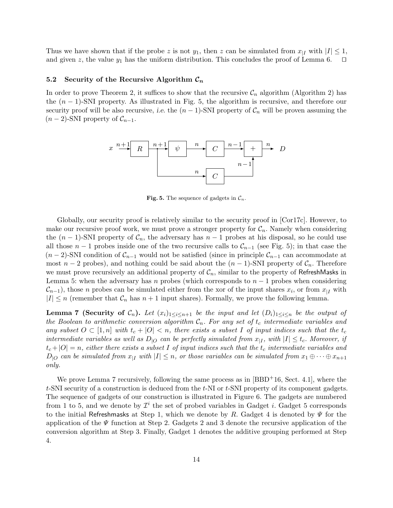Thus we have shown that if the probe z is not  $y_1$ , then z can be simulated from  $x_{|I}$  with  $|I| \leq 1$ , and given z, the value  $y_1$  has the uniform distribution. This concludes the proof of Lemma 6.  $\Box$ 

### 5.2 Security of the Recursive Algorithm  $\mathcal{C}_n$

In order to prove Theorem 2, it suffices to show that the recursive  $\mathcal{C}_n$  algorithm (Algorithm 2) has the  $(n-1)$ -SNI property. As illustrated in Fig. 5, the algorithm is recursive, and therefore our security proof will be also recursive, i.e. the  $(n-1)$ -SNI property of  $\mathcal{C}_n$  will be proven assuming the  $(n-2)$ -SNI property of  $\mathcal{C}_{n-1}$ .



**Fig. 5.** The sequence of gadgets in  $\mathcal{C}_n$ .

Globally, our security proof is relatively similar to the security proof in [Cor17c]. However, to make our recursive proof work, we must prove a stronger property for  $C_n$ . Namely when considering the  $(n-1)$ -SNI property of  $\mathcal{C}_n$ , the adversary has  $n-1$  probes at his disposal, so he could use all those  $n-1$  probes inside one of the two recursive calls to  $\mathcal{C}_{n-1}$  (see Fig. 5); in that case the  $(n-2)$ -SNI condition of  $\mathcal{C}_{n-1}$  would not be satisfied (since in principle  $\mathcal{C}_{n-1}$  can accommodate at most  $n-2$  probes), and nothing could be said about the  $(n-1)$ -SNI property of  $\mathcal{C}_n$ . Therefore we must prove recursively an additional property of  $C_n$ , similar to the property of RefreshMasks in Lemma 5: when the adversary has n probes (which corresponds to  $n-1$  probes when considering  $\mathcal{C}_{n-1}$ ), those n probes can be simulated either from the xor of the input shares  $x_i$ , or from  $x_{|I}$  with  $|I| \leq n$  (remember that  $\mathcal{C}_n$  has  $n+1$  input shares). Formally, we prove the following lemma.

**Lemma 7 (Security of C<sub>n</sub>).** Let  $(x_i)_{1\leq i\leq n+1}$  be the input and let  $(D_i)_{1\leq i\leq n}$  be the output of the Boolean to arithmetic conversion algorithm  $C_n$ . For any set of  $t_c$  intermediate variables and any subset  $O \subset [1,n]$  with  $t_c + |O| < n$ , there exists a subset I of input indices such that the  $t_c$ intermediate variables as well as  $D_{|O}$  can be perfectly simulated from  $x_{|I}$ , with  $|I| \leq t_c$ . Moreover, if  $t_c + |O| = n$ , either there exists a subset I of input indices such that the  $t_c$  intermediate variables and  $D_{|O}$  can be simulated from  $x_{|I}$  with  $|I| \leq n$ , or those variables can be simulated from  $x_1 \oplus \cdots \oplus x_{n+1}$ only.

We prove Lemma 7 recursively, following the same process as in  $[BBD+16, Sect. 4.1],$  where the t-SNI security of a construction is deduced from the t-NI or t-SNI property of its component gadgets. The sequence of gadgets of our construction is illustrated in Figure 6. The gadgets are numbered from 1 to 5, and we denote by  $\mathcal{I}^i$  the set of probed variables in Gadget *i*. Gadget 5 corresponds to the initial Refreshmasks at Step 1, which we denote by R. Gadget 4 is denoted by  $\Psi$  for the application of the  $\Psi$  function at Step 2. Gadgets 2 and 3 denote the recursive application of the conversion algorithm at Step 3. Finally, Gadget 1 denotes the additive grouping performed at Step 4.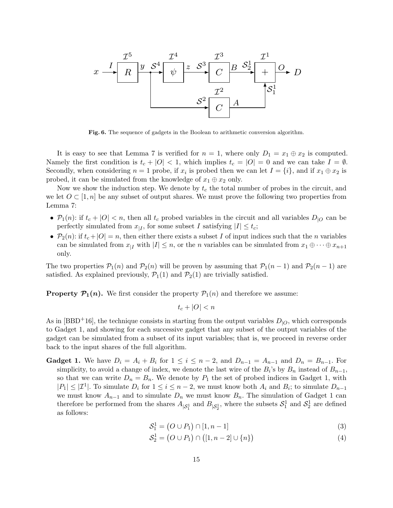

Fig. 6. The sequence of gadgets in the Boolean to arithmetic conversion algorithm.

It is easy to see that Lemma 7 is verified for  $n = 1$ , where only  $D_1 = x_1 \oplus x_2$  is computed. Namely the first condition is  $t_c + |O| < 1$ , which implies  $t_c = |O| = 0$  and we can take  $I = \emptyset$ . Secondly, when considering  $n = 1$  probe, if  $x_i$  is probed then we can let  $I = \{i\}$ , and if  $x_1 \oplus x_2$  is probed, it can be simulated from the knowledge of  $x_1 \oplus x_2$  only.

Now we show the induction step. We denote by  $t_c$  the total number of probes in the circuit, and we let  $O \subset [1, n]$  be any subset of output shares. We must prove the following two properties from Lemma 7:

- $P_1(n)$ : if  $t_c + |O| < n$ , then all  $t_c$  probed variables in the circuit and all variables  $D_{|O}$  can be perfectly simulated from  $x_{|I}$ , for some subset I satisfying  $|I| \leq t_c$ ;
- $\mathcal{P}_2(n)$ : if  $t_c + |O| = n$ , then either there exists a subset I of input indices such that the n variables can be simulated from  $x_{|I}$  with  $|I| \leq n$ , or the *n* variables can be simulated from  $x_1 \oplus \cdots \oplus x_{n+1}$ only.

The two properties  $P_1(n)$  and  $P_2(n)$  will be proven by assuming that  $P_1(n-1)$  and  $P_2(n-1)$  are satisfied. As explained previously,  $\mathcal{P}_1(1)$  and  $\mathcal{P}_2(1)$  are trivially satisfied.

**Property**  $\mathcal{P}_1(n)$ **.** We first consider the property  $\mathcal{P}_1(n)$  and therefore we assume:

 $t_c + |O| < n$ 

As in [BBD<sup>+</sup>16], the technique consists in starting from the output variables  $D<sub>1O</sub>$ , which corresponds to Gadget 1, and showing for each successive gadget that any subset of the output variables of the gadget can be simulated from a subset of its input variables; that is, we proceed in reverse order back to the input shares of the full algorithm.

**Gadget 1.** We have  $D_i = A_i + B_i$  for  $1 \leq i \leq n-2$ , and  $D_{n-1} = A_{n-1}$  and  $D_n = B_{n-1}$ . For simplicity, to avoid a change of index, we denote the last wire of the  $B_i$ 's by  $B_n$  instead of  $B_{n-1}$ , so that we can write  $D_n = B_n$ . We denote by  $P_1$  the set of probed indices in Gadget 1, with  $|P_1| \leq |\mathcal{I}^1|$ . To simulate  $D_i$  for  $1 \leq i \leq n-2$ , we must know both  $A_i$  and  $B_i$ ; to simulate  $D_{n-1}$ we must know  $A_{n-1}$  and to simulate  $D_n$  we must know  $B_n$ . The simulation of Gadget 1 can therefore be performed from the shares  $A_{|S_1^1}$  and  $B_{|S_2^1}$ , where the subsets  $S_1^1$  and  $S_2^1$  are defined as follows:

$$
S_1^1 = (O \cup P_1) \cap [1, n-1]
$$
\n(3)

$$
S_2^1 = (O \cup P_1) \cap ([1, n-2] \cup \{n\})
$$
\n(4)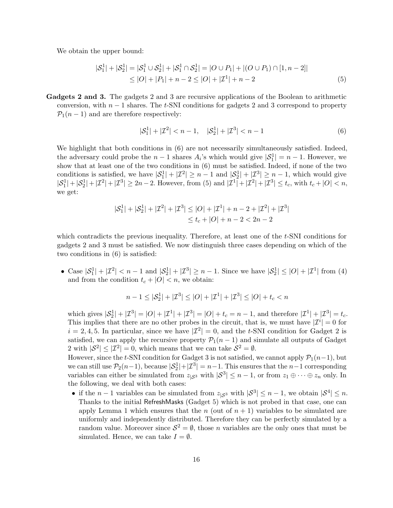We obtain the upper bound:

$$
|S_1^1| + |S_2^1| = |S_1^1 \cup S_2^1| + |S_1^1 \cap S_2^1| = |O \cup P_1| + |(O \cup P_1) \cap [1, n-2]|
$$
  
\n
$$
\leq |O| + |P_1| + n - 2 \leq |O| + |{\mathcal{I}}^1| + n - 2 \tag{5}
$$

Gadgets 2 and 3. The gadgets 2 and 3 are recursive applications of the Boolean to arithmetic conversion, with  $n-1$  shares. The t-SNI conditions for gadgets 2 and 3 correspond to property  $\mathcal{P}_1(n-1)$  and are therefore respectively:

$$
|\mathcal{S}_1^1| + |\mathcal{I}^2| < n - 1, \quad |\mathcal{S}_2^1| + |\mathcal{I}^3| < n - 1 \tag{6}
$$

We highlight that both conditions in  $(6)$  are not necessarily simultaneously satisfied. Indeed, the adversary could probe the  $n-1$  shares  $A_i$ 's which would give  $|\mathcal{S}_1^1|=n-1$ . However, we show that at least one of the two conditions in (6) must be satisfied. Indeed, if none of the two conditions is satisfied, we have  $|\mathcal{S}_1^1| + |\mathcal{I}^2| \ge n - 1$  and  $|\mathcal{S}_2^1| + |\mathcal{I}^3| \ge n - 1$ , which would give  $|S_1^1| + |S_2^1| + |T^2| + |T^3| \ge 2n-2$ . However, from (5) and  $|T^1| + |T^2| + |T^3| \le t_c$ , with  $t_c + |O| < n$ , we get:

$$
|\mathcal{S}_1^1| + |\mathcal{S}_2^1| + |\mathcal{I}^2| + |\mathcal{I}^3| \le |O| + |\mathcal{I}^1| + n - 2 + |\mathcal{I}^2| + |\mathcal{I}^3|
$$
  

$$
\le t_c + |O| + n - 2 < 2n - 2
$$

which contradicts the previous inequality. Therefore, at least one of the t-SNI conditions for gadgets 2 and 3 must be satisfied. We now distinguish three cases depending on which of the two conditions in (6) is satisfied:

• Case  $|S_1^1| + |Z^2| < n - 1$  and  $|S_2^1| + |Z^3| \ge n - 1$ . Since we have  $|S_2^1| \le |O| + |Z^1|$  from (4) and from the condition  $t_c + |O| < n$ , we obtain:

$$
n - 1 \leq |\mathcal{S}_2^1| + |\mathcal{I}^3| \leq |O| + |\mathcal{I}^1| + |\mathcal{I}^3| \leq |O| + t_c < n
$$

which gives  $|S_2^1| + |Z^3| = |O| + |Z^1| + |Z^3| = |O| + t_c = n - 1$ , and therefore  $|Z^1| + |Z^3| = t_c$ . This implies that there are no other probes in the circuit, that is, we must have  $|\mathcal{I}^i|=0$  for  $i = 2, 4, 5$ . In particular, since we have  $|\mathcal{I}^2| = 0$ , and the t-SNI condition for Gadget 2 is satisfied, we can apply the recursive property  $\mathcal{P}_1(n-1)$  and simulate all outputs of Gadget 2 with  $|\mathcal{S}^2| \leq |\mathcal{I}^2| = 0$ , which means that we can take  $\mathcal{S}^2 = \emptyset$ .

However, since the t-SNI condition for Gadget 3 is not satisfied, we cannot apply  $\mathcal{P}_1(n-1)$ , but we can still use  $P_2(n-1)$ , because  $|S_2^1|+|T^3|=n-1$ . This ensures that the  $n-1$  corresponding variables can either be simulated from  $z_{\vert S^3}$  with  $\vert S^3 \vert \leq n-1$ , or from  $z_1 \oplus \cdots \oplus z_n$  only. In the following, we deal with both cases:

• if the  $n-1$  variables can be simulated from  $z_{|S^3}$  with  $|S^3| \leq n-1$ , we obtain  $|S^4| \leq n$ . Thanks to the initial RefreshMasks (Gadget 5) which is not probed in that case, one can apply Lemma 1 which ensures that the n (out of  $n + 1$ ) variables to be simulated are uniformly and independently distributed. Therefore they can be perfectly simulated by a random value. Moreover since  $S^2 = \emptyset$ , those n variables are the only ones that must be simulated. Hence, we can take  $I = \emptyset$ .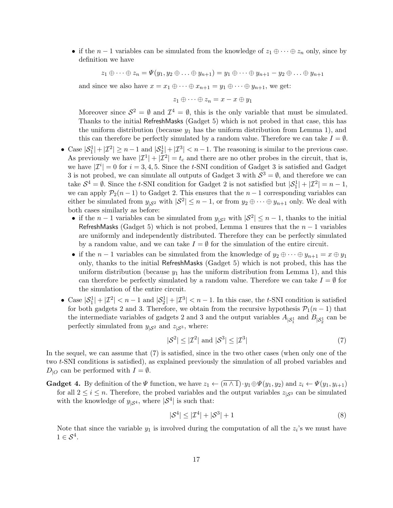• if the  $n-1$  variables can be simulated from the knowledge of  $z_1 \oplus \cdots \oplus z_n$  only, since by definition we have

 $z_1 \oplus \cdots \oplus z_n = \Psi(y_1, y_2 \oplus \ldots \oplus y_{n+1}) = y_1 \oplus \cdots \oplus y_{n+1} - y_2 \oplus \ldots \oplus y_{n+1}$ 

and since we also have  $x = x_1 \oplus \cdots \oplus x_{n+1} = y_1 \oplus \cdots \oplus y_{n+1}$ , we get:

$$
z_1 \oplus \cdots \oplus z_n = x - x \oplus y_1
$$

Moreover since  $\mathcal{S}^2 = \emptyset$  and  $\mathcal{I}^4 = \emptyset$ , this is the only variable that must be simulated. Thanks to the initial RefreshMasks (Gadget 5) which is not probed in that case, this has the uniform distribution (because  $y_1$  has the uniform distribution from Lemma 1), and this can therefore be perfectly simulated by a random value. Therefore we can take  $I = \emptyset$ .

- Case  $|\mathcal{S}_1^1| + |\mathcal{I}^2| \ge n-1$  and  $|\mathcal{S}_2^1| + |\mathcal{I}^3| < n-1$ . The reasoning is similar to the previous case. As previously we have  $|\mathcal{I}^1| + |\mathcal{I}^2| = t_c$  and there are no other probes in the circuit, that is, we have  $|\mathcal{I}^i|=0$  for  $i=3,4,5$ . Since the t-SNI condition of Gadget 3 is satisfied and Gadget 3 is not probed, we can simulate all outputs of Gadget 3 with  $S^3 = \emptyset$ , and therefore we can take  $S^4 = \emptyset$ . Since the t-SNI condition for Gadget 2 is not satisfied but  $|S_1^1| + |T^2| = n - 1$ , we can apply  $P_2(n-1)$  to Gadget 2. This ensures that the  $n-1$  corresponding variables can either be simulated from  $y_{|\mathcal{S}^2}$  with  $|\mathcal{S}^2| \leq n-1$ , or from  $y_2 \oplus \cdots \oplus y_{n+1}$  only. We deal with both cases similarly as before:
	- if the  $n-1$  variables can be simulated from  $y_{|S^2}$  with  $|S^2| \le n-1$ , thanks to the initial RefreshMasks (Gadget 5) which is not probed, Lemma 1 ensures that the  $n-1$  variables are uniformly and independently distributed. Therefore they can be perfectly simulated by a random value, and we can take  $I = \emptyset$  for the simulation of the entire circuit.
	- if the  $n-1$  variables can be simulated from the knowledge of  $y_2 \oplus \cdots \oplus y_{n+1} = x \oplus y_1$ only, thanks to the initial RefreshMasks (Gadget 5) which is not probed, this has the uniform distribution (because  $y_1$  has the uniform distribution from Lemma 1), and this can therefore be perfectly simulated by a random value. Therefore we can take  $I = \emptyset$  for the simulation of the entire circuit.
- Case  $|\mathcal{S}_1^1| + |\mathcal{I}^2| < n-1$  and  $|\mathcal{S}_2^1| + |\mathcal{I}^3| < n-1$ . In this case, the t-SNI condition is satisfied for both gadgets 2 and 3. Therefore, we obtain from the recursive hypothesis  $\mathcal{P}_1(n-1)$  that the intermediate variables of gadgets 2 and 3 and the output variables  $A_{|S_1^1}$  and  $B_{|S_2^1}$  can be perfectly simulated from  $y_{\vert S^2}$  and  $z_{\vert S^3}$ , where:

$$
|\mathcal{S}^2| \le |\mathcal{I}^2| \text{ and } |\mathcal{S}^3| \le |\mathcal{I}^3| \tag{7}
$$

In the sequel, we can assume that (7) is satisfied, since in the two other cases (when only one of the two t-SNI conditions is satisfied), as explained previously the simulation of all probed variables and  $D_{\text{1O}}$  can be performed with  $I = \emptyset$ .

**Gadget 4.** By definition of the  $\Psi$  function, we have  $z_1 \leftarrow (\overline{n \wedge 1}) \cdot y_1 \oplus \Psi(y_1, y_2)$  and  $z_i \leftarrow \Psi(y_1, y_{i+1})$ for all  $2 \leq i \leq n$ . Therefore, the probed variables and the output variables  $z_{\vert S^3}$  can be simulated with the knowledge of  $y_{|S^4}$ , where  $|S^4|$  is such that:

$$
|\mathcal{S}^4| \le |\mathcal{I}^4| + |\mathcal{S}^3| + 1\tag{8}
$$

Note that since the variable  $y_1$  is involved during the computation of all the  $z_i$ 's we must have  $1 \in \mathcal{S}^4$ .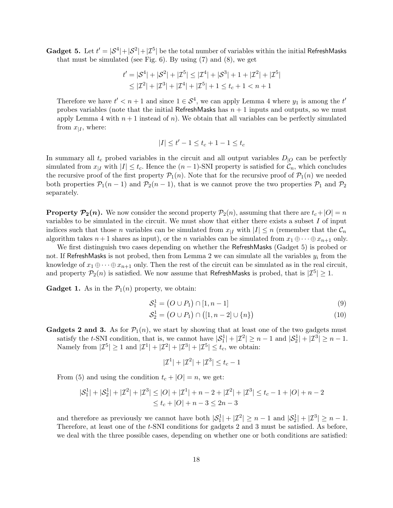**Gadget 5.** Let  $t' = |\mathcal{S}^4| + |\mathcal{S}^2| + |\mathcal{I}^5|$  be the total number of variables within the initial RefreshMasks that must be simulated (see Fig.  $6$ ). By using  $(7)$  and  $(8)$ , we get

$$
t' = |\mathcal{S}^4| + |\mathcal{S}^2| + |\mathcal{I}^5| \le |\mathcal{I}^4| + |\mathcal{S}^3| + 1 + |\mathcal{I}^2| + |\mathcal{I}^5|
$$
  

$$
\le |\mathcal{I}^2| + |\mathcal{I}^3| + |\mathcal{I}^4| + |\mathcal{I}^5| + 1 \le t_c + 1 < n + 1
$$

Therefore we have  $t' < n + 1$  and since  $1 \in S^4$ , we can apply Lemma 4 where  $y_1$  is among the  $t'$ probes variables (note that the initial RefreshMasks has  $n + 1$  inputs and outputs, so we must apply Lemma 4 with  $n+1$  instead of n). We obtain that all variables can be perfectly simulated from  $x_{|I}$ , where:

$$
|I| \le t' - 1 \le t_c + 1 - 1 \le t_c
$$

In summary all  $t_c$  probed variables in the circuit and all output variables  $D_{|O}$  can be perfectly simulated from  $x_{|I}$  with  $|I| \leq t_c$ . Hence the  $(n-1)$ -SNI property is satisfied for  $\mathcal{C}_n$ , which concludes the recursive proof of the first property  $\mathcal{P}_1(n)$ . Note that for the recursive proof of  $\mathcal{P}_1(n)$  we needed both properties  $P_1(n-1)$  and  $P_2(n-1)$ , that is we cannot prove the two properties  $P_1$  and  $P_2$ separately.

**Property**  $P_2(n)$ **.** We now consider the second property  $P_2(n)$ , assuming that there are  $t_c+|O|=n$ variables to be simulated in the circuit. We must show that either there exists a subset  $I$  of input indices such that those n variables can be simulated from  $x_{\vert I}$  with  $|I| \leq n$  (remember that the  $\mathcal{C}_n$ algorithm takes  $n+1$  shares as input), or the n variables can be simulated from  $x_1 \oplus \cdots \oplus x_{n+1}$  only.

We first distinguish two cases depending on whether the RefreshMasks (Gadget 5) is probed or not. If RefreshMasks is not probed, then from Lemma 2 we can simulate all the variables  $y_i$  from the knowledge of  $x_1 \oplus \cdots \oplus x_{n+1}$  only. Then the rest of the circuit can be simulated as in the real circuit, and property  $\mathcal{P}_2(n)$  is satisfied. We now assume that RefreshMasks is probed, that is  $|\mathcal{I}^5| \geq 1$ .

**Gadget 1.** As in the  $P_1(n)$  property, we obtain:

$$
S_1^1 = (O \cup P_1) \cap [1, n-1]
$$
\n(9)

$$
S_2^1 = (O \cup P_1) \cap ([1, n-2] \cup \{n\})
$$
\n(10)

**Gadgets 2 and 3.** As for  $\mathcal{P}_1(n)$ , we start by showing that at least one of the two gadgets must satisfy the t-SNI condition, that is, we cannot have  $|S_1^1| + |{\mathcal{I}}^2| \ge n - 1$  and  $|S_2^1| + |{\mathcal{I}}^3| \ge n - 1$ . Namely from  $|\mathcal{I}^5| \geq 1$  and  $|\mathcal{I}^1| + |\mathcal{I}^2| + |\mathcal{I}^3| + |\mathcal{I}^5| \leq t_c$ , we obtain:

$$
|\mathcal{I}^1|+|\mathcal{I}^2|+|\mathcal{I}^3|\leq t_c-1
$$

From (5) and using the condition  $t_c + |O| = n$ , we get:

$$
|\mathcal{S}_1^1| + |\mathcal{S}_2^1| + |\mathcal{I}^2| + |\mathcal{I}^3| \le |O| + |\mathcal{I}^1| + n - 2 + |\mathcal{I}^2| + |\mathcal{I}^3| \le t_c - 1 + |O| + n - 2
$$
  

$$
\le t_c + |O| + n - 3 \le 2n - 3
$$

and therefore as previously we cannot have both  $|\mathcal{S}_1^1| + |\mathcal{I}^2| \ge n - 1$  and  $|\mathcal{S}_2^1| + |\mathcal{I}^3| \ge n - 1$ . Therefore, at least one of the t-SNI conditions for gadgets 2 and 3 must be satisfied. As before, we deal with the three possible cases, depending on whether one or both conditions are satisfied: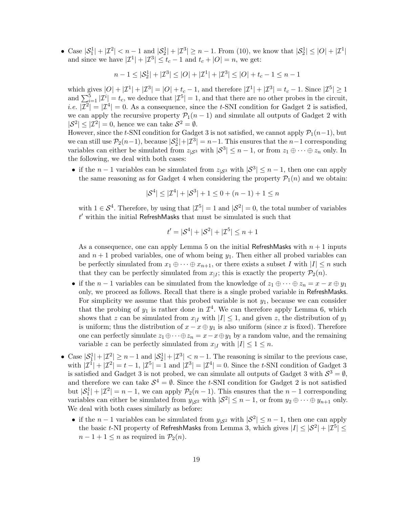• Case  $|S_1^1| + |Z^2| < n - 1$  and  $|S_2^1| + |Z^3| \ge n - 1$ . From (10), we know that  $|S_2^1| \le |O| + |Z^1|$ and since we have  $|\mathcal{I}^1| + |\mathcal{I}^3| \le t_c - 1$  and  $t_c + |O| = n$ , we get:

$$
n - 1 \leq |\mathcal{S}_2^1| + |\mathcal{I}^3| \leq |O| + |\mathcal{I}^1| + |\mathcal{I}^3| \leq |O| + t_c - 1 \leq n - 1
$$

which gives  $|O| + |\mathcal{I}^1| + |\mathcal{I}^3| = |O| + t_c - 1$ , and therefore  $|\mathcal{I}^1| + |\mathcal{I}^3| = t_c - 1$ . Since  $|\mathcal{I}^5| \ge 1$ and  $\sum_{i=1}^{5} |\mathcal{I}^i| = t_c$ , we deduce that  $|\mathcal{I}^5| = 1$ , and that there are no other probes in the circuit, *i.e.*  $|\mathcal{I}^2| = |\mathcal{I}^4| = 0$ . As a consequence, since the *t*-SNI condition for Gadget 2 is satisfied, we can apply the recursive property  $\mathcal{P}_1(n-1)$  and simulate all outputs of Gadget 2 with  $|S^2| \leq |Z^2| = 0$ , hence we can take  $S^2 = \emptyset$ .

However, since the t-SNI condition for Gadget 3 is not satisfied, we cannot apply  $\mathcal{P}_1(n-1)$ , but we can still use  $P_2(n-1)$ , because  $|S_2^1|+|Z^3|=n-1$ . This ensures that the  $n-1$  corresponding variables can either be simulated from  $z_{\vert S^3}$  with  $\vert S^3 \vert \leq n-1$ , or from  $z_1 \oplus \cdots \oplus z_n$  only. In the following, we deal with both cases:

• if the  $n-1$  variables can be simulated from  $z_{|S^3}$  with  $|S^3| \leq n-1$ , then one can apply the same reasoning as for Gadget 4 when considering the property  $\mathcal{P}_1(n)$  and we obtain:

$$
|\mathcal{S}^4| \le |\mathcal{I}^4| + |\mathcal{S}^3| + 1 \le 0 + (n - 1) + 1 \le n
$$

with  $1 \in S^4$ . Therefore, by using that  $|\mathcal{I}^5| = 1$  and  $|S^2| = 0$ , the total number of variables  $t'$  within the initial RefreshMasks that must be simulated is such that

$$
t' = |\mathcal{S}^4| + |\mathcal{S}^2| + |\mathcal{I}^5| \le n + 1
$$

As a consequence, one can apply Lemma 5 on the initial RefreshMasks with  $n + 1$  inputs and  $n + 1$  probed variables, one of whom being  $y_1$ . Then either all probed variables can be perfectly simulated from  $x_1 \oplus \cdots \oplus x_{n+1}$ , or there exists a subset I with  $|I| \leq n$  such that they can be perfectly simulated from  $x_{\mid I}$ ; this is exactly the property  $\mathcal{P}_2(n)$ .

- if the  $n-1$  variables can be simulated from the knowledge of  $z_1 \oplus \cdots \oplus z_n = x x \oplus y_1$ only, we proceed as follows. Recall that there is a single probed variable in RefreshMasks. For simplicity we assume that this probed variable is not  $y_1$ , because we can consider that the probing of  $y_1$  is rather done in  $\mathcal{I}^4$ . We can therefore apply Lemma 6, which shows that z can be simulated from  $x_{|I}$  with  $|I| \leq 1$ , and given z, the distribution of  $y_1$ is uniform; thus the distribution of  $x - x \oplus y_1$  is also uniform (since x is fixed). Therefore one can perfectly simulate  $z_1 \oplus \cdots \oplus z_n = x - x \oplus y_1$  by a random value, and the remaining variable z can be perfectly simulated from  $x_{|I}$  with  $|I| \leq 1 \leq n$ .
- Case  $|\mathcal{S}_1^1| + |\mathcal{I}^2| \ge n-1$  and  $|\mathcal{S}_2^1| + |\mathcal{I}^3| < n-1$ . The reasoning is similar to the previous case, with  $|\mathcal{I}^1| + |\mathcal{I}^2| = t - 1$ ,  $|\mathcal{I}^5| = 1$  and  $|\mathcal{I}^3| = |\mathcal{I}^4| = 0$ . Since the t-SNI condition of Gadget 3 is satisfied and Gadget 3 is not probed, we can simulate all outputs of Gadget 3 with  $S^3 = \emptyset$ , and therefore we can take  $S^4 = \emptyset$ . Since the t-SNI condition for Gadget 2 is not satisfied but  $|\mathcal{S}_1^1| + |\mathcal{I}^2| = n - 1$ , we can apply  $\mathcal{P}_2(n-1)$ . This ensures that the  $n-1$  corresponding variables can either be simulated from  $y_{|\mathcal{S}^2}$  with  $|\mathcal{S}^2| \leq n-1$ , or from  $y_2 \oplus \cdots \oplus y_{n+1}$  only. We deal with both cases similarly as before:
	- if the  $n-1$  variables can be simulated from  $y_{|S^2}$  with  $|S^2| \leq n-1$ , then one can apply the basic t-NI property of RefreshMasks from Lemma 3, which gives  $|I| \leq |\mathcal{S}^2| + |\mathcal{I}^5| \leq$  $n-1+1 \leq n$  as required in  $\mathcal{P}_2(n)$ .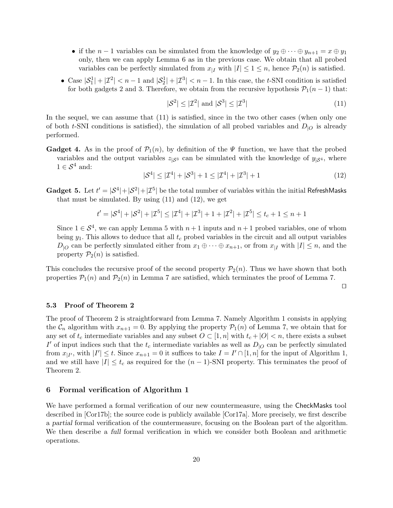- if the  $n-1$  variables can be simulated from the knowledge of  $y_2 \oplus \cdots \oplus y_{n+1} = x \oplus y_1$ only, then we can apply Lemma 6 as in the previous case. We obtain that all probed variables can be perfectly simulated from  $x_{|I}$  with  $|I| \leq 1 \leq n$ , hence  $\mathcal{P}_2(n)$  is satisfied.
- Case  $|\mathcal{S}_1^1| + |\mathcal{I}^2| < n-1$  and  $|\mathcal{S}_2^1| + |\mathcal{I}^3| < n-1$ . In this case, the t-SNI condition is satisfied for both gadgets 2 and 3. Therefore, we obtain from the recursive hypothesis  $\mathcal{P}_1(n-1)$  that:

$$
|\mathcal{S}^2| \le |\mathcal{I}^2| \text{ and } |\mathcal{S}^3| \le |\mathcal{I}^3| \tag{11}
$$

In the sequel, we can assume that  $(11)$  is satisfied, since in the two other cases (when only one of both t-SNI conditions is satisfied), the simulation of all probed variables and  $D_{|O}$  is already performed.

**Gadget 4.** As in the proof of  $\mathcal{P}_1(n)$ , by definition of the  $\Psi$  function, we have that the probed variables and the output variables  $z_{\vert S^3}$  can be simulated with the knowledge of  $y_{\vert S^4}$ , where  $1 \in \mathcal{S}^4$  and:

 $|S^4| \leq |{\mathcal{I}}^4| + |{\mathcal{S}}^3| + 1 \leq |{\mathcal{I}}^4| + |{\mathcal{I}}^3| + 1$  (12)

**Gadget 5.** Let  $t' = |\mathcal{S}^4| + |\mathcal{S}^2| + |\mathcal{I}^5|$  be the total number of variables within the initial RefreshMasks that must be simulated. By using  $(11)$  and  $(12)$ , we get

$$
t' = |\mathcal{S}^4| + |\mathcal{S}^2| + |\mathcal{I}^5| \le |\mathcal{I}^4| + |\mathcal{I}^3| + 1 + |\mathcal{I}^2| + |\mathcal{I}^5| \le t_c + 1 \le n + 1
$$

Since  $1 \in S^4$ , we can apply Lemma 5 with  $n+1$  inputs and  $n+1$  probed variables, one of whom being  $y_1$ . This allows to deduce that all  $t_c$  probed variables in the circuit and all output variables  $D_{|O}$  can be perfectly simulated either from  $x_1 \oplus \cdots \oplus x_{n+1}$ , or from  $x_{|I}$  with  $|I| \leq n$ , and the property  $\mathcal{P}_2(n)$  is satisfied.

This concludes the recursive proof of the second property  $\mathcal{P}_2(n)$ . Thus we have shown that both properties  $P_1(n)$  and  $P_2(n)$  in Lemma 7 are satisfied, which terminates the proof of Lemma 7.

 $\Box$ 

## 5.3 Proof of Theorem 2

The proof of Theorem 2 is straightforward from Lemma 7. Namely Algorithm 1 consists in applying the  $\mathcal{C}_n$  algorithm with  $x_{n+1} = 0$ . By applying the property  $\mathcal{P}_1(n)$  of Lemma 7, we obtain that for any set of  $t_c$  intermediate variables and any subset  $O \subset [1, n]$  with  $t_c + |O| < n$ , there exists a subset I' of input indices such that the  $t_c$  intermediate variables as well as  $D_{|O}$  can be perfectly simulated from  $x_{|I'}$ , with  $|I'| \leq t$ . Since  $x_{n+1} = 0$  it suffices to take  $I = I' \cap [1, n]$  for the input of Algorithm 1, and we still have  $|I| \leq t_c$  as required for the  $(n-1)$ -SNI property. This terminates the proof of Theorem 2.

# 6 Formal verification of Algorithm 1

We have performed a formal verification of our new countermeasure, using the CheckMasks tool described in [Cor17b]; the source code is publicly available [Cor17a]. More precisely, we first describe a partial formal verification of the countermeasure, focusing on the Boolean part of the algorithm. We then describe a full formal verification in which we consider both Boolean and arithmetic operations.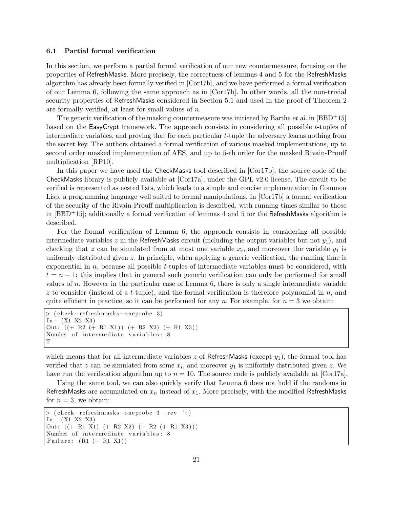### 6.1 Partial formal verification

In this section, we perform a partial formal verification of our new countermeasure, focusing on the properties of RefreshMasks. More precisely, the correctness of lemmas 4 and 5 for the RefreshMasks algorithm has already been formally verified in [Cor17b], and we have performed a formal verification of our Lemma 6, following the same approach as in [Cor17b]. In other words, all the non-trivial security properties of RefreshMasks considered in Section 5.1 and used in the proof of Theorem 2 are formally verified, at least for small values of n.

The generic verification of the masking countermeasure was initiated by Barthe *et al.* in  $|BBD+15|$ based on the EasyCrypt framework. The approach consists in considering all possible t-tuples of intermediate variables, and proving that for each particular t-tuple the adversary learns nothing from the secret key. The authors obtained a formal verification of various masked implementations, up to second order masked implementation of AES, and up to 5-th order for the masked Rivain-Prouff multiplication [RP10].

In this paper we have used the CheckMasks tool described in [Cor17b]; the source code of the CheckMasks library is publicly available at [Cor17a], under the GPL v2.0 license. The circuit to be verified is represented as nested lists, which leads to a simple and concise implementation in Common Lisp, a programming language well suited to formal manipulations. In [Cor17b] a formal verification of the security of the Rivain-Prouff multiplication is described, with running times similar to those in [BBD+15]; additionally a formal verification of lemmas 4 and 5 for the RefreshMasks algorithm is described.

For the formal verification of Lemma 6, the approach consists in considering all possible intermediate variables z in the RefreshMasks circuit (including the output variables but not  $y_1$ ), and checking that z can be simulated from at most one variable  $x_i$ , and moreover the variable  $y_1$  is uniformly distributed given z. In principle, when applying a generic verification, the running time is exponential in  $n$ , because all possible t-tuples of intermediate variables must be considered, with  $t = n - 1$ ; this implies that in general such generic verification can only be performed for small values of n. However in the particular case of Lemma 6, there is only a single intermediate variable  $z$  to consider (instead of a t-tuple), and the formal verification is therefore polynomial in  $n$ , and quite efficient in practice, so it can be performed for any n. For example, for  $n = 3$  we obtain:

```
> ( check−re freshmasks−oneprobe 3 )
In : (X1 X2 X3)
Out: ((+ R2 (+ R1 X1)) (+ R2 X2) (+ R1 X3))Number of intermediate variables: 8
T
```
which means that for all intermediate variables  $z$  of RefreshMasks (except  $y_1$ ), the formal tool has verified that z can be simulated from some  $x_i$ , and moreover  $y_1$  is uniformly distributed given z. We have run the verification algorithm up to  $n = 10$ . The source code is publicly available at [Cor17a].

Using the same tool, we can also quickly verify that Lemma 6 does not hold if the randoms in RefreshMasks are accumulated on  $x_n$  instead of  $x_1$ . More precisely, with the modified RefreshMasks for  $n = 3$ , we obtain:

```
> ( check-refreshmasks-oneprobe 3 : rev 't)
In : (X1 X2 X3)
Out: ((+ R1 X1) (+ R2 X2) (+ R2 (+ R1 X3)))Number of intermediate variables: 8
Failure: (R1 (+ R1 X1))
```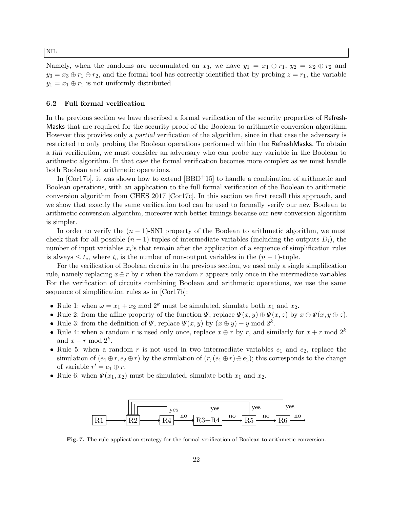Namely, when the randoms are accumulated on  $x_3$ , we have  $y_1 = x_1 \oplus r_1$ ,  $y_2 = x_2 \oplus r_2$  and  $y_3 = x_3 \oplus r_1 \oplus r_2$ , and the formal tool has correctly identified that by probing  $z = r_1$ , the variable  $y_1 = x_1 \oplus r_1$  is not uniformly distributed.

#### 6.2 Full formal verification

In the previous section we have described a formal verification of the security properties of Refresh-Masks that are required for the security proof of the Boolean to arithmetic conversion algorithm. However this provides only a partial verification of the algorithm, since in that case the adversary is restricted to only probing the Boolean operations performed within the RefreshMasks. To obtain a full verification, we must consider an adversary who can probe any variable in the Boolean to arithmetic algorithm. In that case the formal verification becomes more complex as we must handle both Boolean and arithmetic operations.

In  $[Cor17b]$ , it was shown how to extend  $[BBD+15]$  to handle a combination of arithmetic and Boolean operations, with an application to the full formal verification of the Boolean to arithmetic conversion algorithm from CHES 2017 [Cor17c]. In this section we first recall this approach, and we show that exactly the same verification tool can be used to formally verify our new Boolean to arithmetic conversion algorithm, moreover with better timings because our new conversion algorithm is simpler.

In order to verify the  $(n - 1)$ -SNI property of the Boolean to arithmetic algorithm, we must check that for all possible  $(n-1)$ -tuples of intermediate variables (including the outputs  $D_i$ ), the number of input variables  $x_i$ 's that remain after the application of a sequence of simplification rules is always  $\leq t_c$ , where  $t_c$  is the number of non-output variables in the  $(n-1)$ -tuple.

For the verification of Boolean circuits in the previous section, we used only a single simplification rule, namely replacing  $x \oplus r$  by r when the random r appears only once in the intermediate variables. For the verification of circuits combining Boolean and arithmetic operations, we use the same sequence of simplification rules as in [Cor17b]:

- Rule 1: when  $\omega = x_1 + x_2 \mod 2^k$  must be simulated, simulate both  $x_1$  and  $x_2$ .
- Rule 2: from the affine property of the function  $\Psi$ , replace  $\Psi(x, y) \oplus \Psi(x, z)$  by  $x \oplus \Psi(x, y \oplus z)$ .
- Rule 3: from the definition of  $\Psi$ , replace  $\Psi(x, y)$  by  $(x \oplus y) y \mod 2^k$ .
- Rule 4: when a random r is used only once, replace  $x \oplus r$  by r, and similarly for  $x + r \mod 2^k$ and  $x - r \mod 2^k$ .
- Rule 5: when a random r is not used in two intermediate variables  $e_1$  and  $e_2$ , replace the simulation of  $(e_1 \oplus r, e_2 \oplus r)$  by the simulation of  $(r, (e_1 \oplus r) \oplus e_2)$ ; this corresponds to the change of variable  $r' = e_1 \oplus r$ .
- Rule 6: when  $\Psi(x_1, x_2)$  must be simulated, simulate both  $x_1$  and  $x_2$ .



Fig. 7. The rule application strategy for the formal verification of Boolean to arithmetic conversion.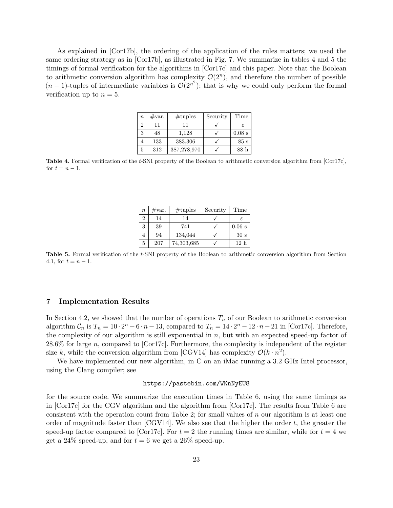As explained in [Cor17b], the ordering of the application of the rules matters; we used the same ordering strategy as in [Cor17b], as illustrated in Fig. 7. We summarize in tables 4 and 5 the timings of formal verification for the algorithms in [Cor17c] and this paper. Note that the Boolean to arithmetic conversion algorithm has complexity  $\mathcal{O}(2^n)$ , and therefore the number of possible  $(n-1)$ -tuples of intermediate variables is  $\mathcal{O}(2^{n^2})$ ; that is why we could only perform the formal verification up to  $n = 5$ .

| $\, n$ | #var. | #tuples     | Security | Time     |
|--------|-------|-------------|----------|----------|
| 2      | 11    | 11          |          | F.       |
| 3      | 48    | 1,128       |          | $0.08$ s |
|        | 133   | 383,306     |          | 85s      |
| 5      | 312   | 387,278,970 |          | 88 h     |

Table 4. Formal verification of the t-SNI property of the Boolean to arithmetic conversion algorithm from [Cor17c], for  $t = n - 1$ .

| $\boldsymbol{n}$ | #var. | #tuples    | Security | Time            |
|------------------|-------|------------|----------|-----------------|
| 2                | 14    | 14         |          | $\epsilon$      |
| 3                | 39    | 741        |          | $0.06$ s        |
|                  | 94    | 134,044    |          | 30 <sub>s</sub> |
| 5                | 207   | 74,303,685 |          | 12h             |

Table 5. Formal verification of the t-SNI property of the Boolean to arithmetic conversion algorithm from Section 4.1, for  $t = n - 1$ .

# 7 Implementation Results

In Section 4.2, we showed that the number of operations  $T_n$  of our Boolean to arithmetic conversion algorithm  $C_n$  is  $T_n = 10 \cdot 2^n - 6 \cdot n - 13$ , compared to  $T_n = 14 \cdot 2^n - 12 \cdot n - 21$  in [Cor17c]. Therefore, the complexity of our algorithm is still exponential in  $n$ , but with an expected speed-up factor of 28.6% for large n, compared to [Cor17c]. Furthermore, the complexity is independent of the register size k, while the conversion algorithm from [CGV14] has complexity  $\mathcal{O}(k \cdot n^2)$ .

We have implemented our new algorithm, in C on an iMac running a 3.2 GHz Intel processor, using the Clang compiler; see

## https://pastebin.com/WKnNyEU8

for the source code. We summarize the execution times in Table 6, using the same timings as in [Cor17c] for the CGV algorithm and the algorithm from [Cor17c]. The results from Table 6 are consistent with the operation count from Table 2; for small values of  $n$  our algorithm is at least one order of magnitude faster than  $[CGV14]$ . We also see that the higher the order t, the greater the speed-up factor compared to [Cor17c]. For  $t = 2$  the running times are similar, while for  $t = 4$  we get a 24% speed-up, and for  $t = 6$  we get a 26% speed-up.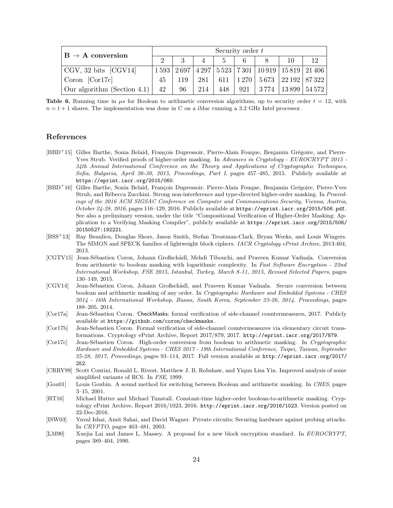| $ B \rightarrow A$ conversion                  | Security order $t$ |        |          |              |   |  |                                                                        |    |  |
|------------------------------------------------|--------------------|--------|----------|--------------|---|--|------------------------------------------------------------------------|----|--|
|                                                |                    |        | $4 \mid$ | $\sim$ 5 $-$ | 6 |  | 10                                                                     | 12 |  |
| $\vert$ CGV, 32 bits $\vert$ CGV14 $\vert$     |                    |        |          |              |   |  | 1593   2697   4297   5523   7301   10919   15819   21406               |    |  |
| $\vert$ Coron $\vert$ Cor17c $\vert$           | 45                 |        |          |              |   |  | $119 \mid 281 \mid 611 \mid 1270 \mid 5673 \mid 22192 \mid 87322 \mid$ |    |  |
| $\vert$ Our algorithm (Section 4.1) $\vert$ 42 |                    | $96-1$ |          |              |   |  | 214   448   921   3774   13899   54572                                 |    |  |

**Table 6.** Running time in  $\mu s$  for Boolean to arithmetic conversion algorithms, up to security order  $t = 12$ , with  $n = t + 1$  shares. The implementation was done in C on a iMac running a 3.2 GHz Intel processor.

# References

- [BBD<sup>+</sup>15] Gilles Barthe, Sonia Belaïd, François Dupressoir, Pierre-Alain Fouque, Benjamin Grégoire, and Pierre-Yves Strub. Verified proofs of higher-order masking. In Advances in Cryptology - EUROCRYPT 2015 -34th Annual International Conference on the Theory and Applications of Cryptographic Techniques, Sofia, Bulgaria, April 26-30, 2015, Proceedings, Part I, pages 457–485, 2015. Publicly available at https://eprint.iacr.org/2015/060.
- [BBD<sup>+</sup>16] Gilles Barthe, Sonia Belaïd, François Dupressoir, Pierre-Alain Fouque, Benjamin Grégoire, Pierre-Yves Strub, and Rébecca Zucchini. Strong non-interference and type-directed higher-order masking. In Proceedings of the 2016 ACM SIGSAC Conference on Computer and Communications Security, Vienna, Austria, October 24-28, 2016, pages  $116-129$ , 2016. Publicly available at https://eprint.iacr.org/2015/506.pdf. See also a preliminary version, under the title "Compositional Verification of Higher-Order Masking: Application to a Verifying Masking Compiler", publicly available at https://eprint.iacr.org/2015/506/ 20150527:192221.
- [BSS<sup>+</sup>13] Ray Beaulieu, Douglas Shors, Jason Smith, Stefan Treatman-Clark, Bryan Weeks, and Louis Wingers. The SIMON and SPECK families of lightweight block ciphers. IACR Cryptology ePrint Archive, 2013:404, 2013.
- [CGTV15] Jean-Sébastien Coron, Johann Großschädl, Mehdi Tibouchi, and Praveen Kumar Vadnala. Conversion from arithmetic to boolean masking with logarithmic complexity. In Fast Software Encryption - 22nd International Workshop, FSE 2015, Istanbul, Turkey, March 8-11, 2015, Revised Selected Papers, pages 130–149, 2015.
- [CGV14] Jean-Sébastien Coron, Johann Großschädl, and Praveen Kumar Vadnala. Secure conversion between boolean and arithmetic masking of any order. In *Cryptographic Hardware and Embedded Systems - CHES* 2014 - 16th International Workshop, Busan, South Korea, September 23-26, 2014. Proceedings, pages 188–205, 2014.
- [Cor17a] Jean-Sébastien Coron. CheckMasks: formal verification of side-channel countermeasures, 2017. Publicly available at https://github.com/coron/checkmasks.
- [Cor17b] Jean-Sebastien Coron. Formal verification of side-channel countermeasures via elementary circuit transformations. Cryptology ePrint Archive, Report 2017/879, 2017. http://eprint.iacr.org/2017/879.
- [Cor17c] Jean-Sébastien Coron. High-order conversion from boolean to arithmetic masking. In Cryptographic Hardware and Embedded Systems - CHES 2017 - 19th International Conference, Taipei, Taiwan, September 25-28, 2017, Proceedings, pages 93–114, 2017. Full version available at http://eprint.iacr.org/2017/ 252.
- [CRRY99] Scott Contini, Ronald L. Rivest, Matthew J. B. Robshaw, and Yiqun Lisa Yin. Improved analysis of some simplified variants of RC6. In FSE, 1999.
- [Gou01] Louis Goubin. A sound method for switching between Boolean and arithmetic masking. In CHES, pages 3–15, 2001.
- [HT16] Michael Hutter and Michael Tunstall. Constant-time higher-order boolean-to-arithmetic masking. Cryptology ePrint Archive, Report 2016/1023, 2016. http://eprint.iacr.org/2016/1023. Version posted on 22-Dec-2016.
- [ISW03] Yuval Ishai, Amit Sahai, and David Wagner. Private circuits: Securing hardware against probing attacks. In CRYPTO, pages 463–481, 2003.
- [LM90] Xuejia Lai and James L. Massey. A proposal for a new block encryption standard. In EUROCRYPT, pages 389–404, 1990.